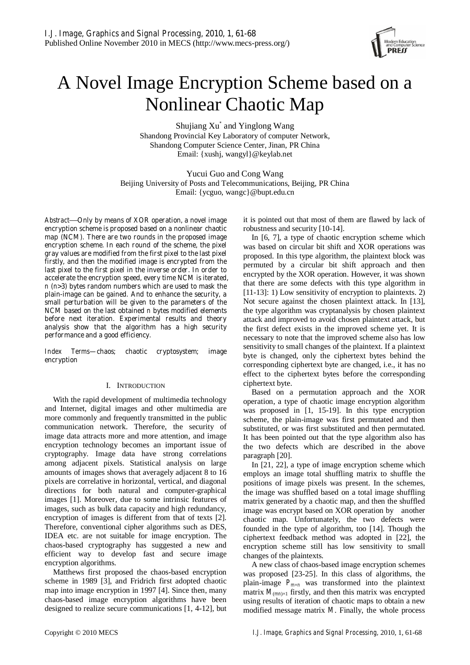

# A Novel Image Encryption Scheme based on a Nonlinear Chaotic Map

Shujiang Xu<sup>\*</sup> and Yinglong Wang Shandong Provincial Key Laboratory of computer Network, Shandong Computer Science Center, Jinan, PR China Email: {xushj, wangyl}@keylab.net

Yucui Guo and Cong Wang Beijing University of Posts and Telecommunications, Beijing, PR China Email: {ycguo, wangc}@bupt.edu.cn

*Abstract*—**Only by means of XOR operation, a novel image encryption scheme is proposed based on a nonlinear chaotic map (NCM). There are two rounds in the proposed image encryption scheme. In each round of the scheme, the pixel gray values are modified from the first pixel to the last pixel firstly, and then the modified image is encrypted from the last pixel to the first pixel in the inverse order. In order to accelerate the encryption speed, every time NCM is iterated,**  *n* **(***n***>3) bytes random numbers which are used to mask the plain-image can be gained. And to enhance the security, a small perturbation will be given to the parameters of the NCM based on the last obtained** *n* **bytes modified elements before next iteration. Experimental results and theory analysis show that the algorithm has a high security performance and a good efficiency.** 

*Index Terms***—chaos; chaotic cryptosystem; image encryption** 

## I. INTRODUCTION

With the rapid development of multimedia technology and Internet, digital images and other multimedia are more commonly and frequently transmitted in the public communication network. Therefore, the security of image data attracts more and more attention, and image encryption technology becomes an important issue of cryptography. Image data have strong correlations among adjacent pixels. Statistical analysis on large amounts of images shows that averagely adjacent 8 to 16 pixels are correlative in horizontal, vertical, and diagonal directions for both natural and computer-graphical images [1]. Moreover, due to some intrinsic features of images, such as bulk data capacity and high redundancy, encryption of images is different from that of texts [2]. Therefore, conventional cipher algorithms such as DES, IDEA etc. are not suitable for image encryption. The chaos-based cryptography has suggested a new and efficient way to develop fast and secure image encryption algorithms.

Matthews first proposed the chaos-based encryption scheme in 1989 [3], and Fridrich first adopted chaotic map into image encryption in 1997 [4]. Since then, many chaos-based image encryption algorithms have been designed to realize secure communications [1, 4-12], but it is pointed out that most of them are flawed by lack of robustness and security [10-14].

In [6, 7], a type of chaotic encryption scheme which was based on circular bit shift and XOR operations was proposed. In this type algorithm, the plaintext block was permuted by a circular bit shift approach and then encrypted by the XOR operation. However, it was shown that there are some defects with this type algorithm in [11-13]: 1) Low sensitivity of encryption to plaintexts. 2) Not secure against the chosen plaintext attack. In [13], the type algorithm was cryptanalysis by chosen plaintext attack and improved to avoid chosen plaintext attack, but the first defect exists in the improved scheme yet. It is necessary to note that the improved scheme also has low sensitivity to small changes of the plaintext. If a plaintext byte is changed, only the ciphertext bytes behind the corresponding ciphertext byte are changed, i.e., it has no effect to the ciphertext bytes before the corresponding ciphertext byte.

Based on a permutation approach and the XOR operation, a type of chaotic image encryption algorithm was proposed in [1, 15-19]. In this type encryption scheme, the plain-image was first permutated and then substituted, or was first substituted and then permutated. It has been pointed out that the type algorithm also has the two defects which are described in the above paragraph [20].

In [21, 22], a type of image encryption scheme which employs an image total shuffling matrix to shuffle the positions of image pixels was present. In the schemes, the image was shuffled based on a total image shuffling matrix generated by a chaotic map, and then the shuffled image was encrypt based on XOR operation by another chaotic map. Unfortunately, the two defects were founded in the type of algorithm, too [14]. Though the ciphertext feedback method was adopted in [22], the encryption scheme still has low sensitivity to small changes of the plaintexts.

A new class of chaos-based image encryption schemes was proposed [23-25]. In this class of algorithms, the plain-image  $P_{m\times n}$  was transformed into the plaintext matrix  $M_{(mn)\times1}$  firstly, and then this matrix was encrypted using results of iteration of chaotic maps to obtain a new modified message matrix *M*. Finally, the whole process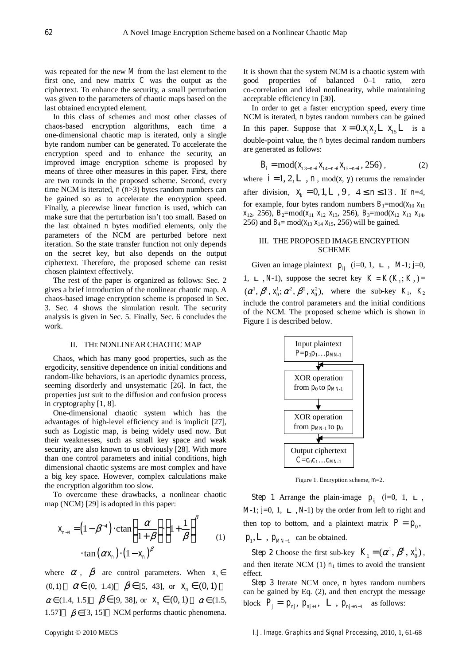was repeated for the new *M* from the last element to the first one, and new matrix *C* was the output as the ciphertext. To enhance the security, a small perturbation was given to the parameters of chaotic maps based on the last obtained encrypted element.

In this class of schemes and most other classes of chaos-based encryption algorithms, each time a one-dimensional chaotic map is iterated, only a single byte random number can be generated. To accelerate the encryption speed and to enhance the security, an improved image encryption scheme is proposed by means of three other measures in this paper. First, there are two rounds in the proposed scheme. Second, every time NCM is iterated, *n* (*n*>3) bytes random numbers can be gained so as to accelerate the encryption speed. Finally, a piecewise linear function is used, which can make sure that the perturbation isn't too small. Based on the last obtained *n* bytes modified elements, only the parameters of the NCM are perturbed before next iteration. So the state transfer function not only depends on the secret key, but also depends on the output ciphertext. Therefore, the proposed scheme can resist chosen plaintext effectively.

The rest of the paper is organized as follows: Sec. 2 gives a brief introduction of the nonlinear chaotic map. A chaos-based image encryption scheme is proposed in Sec. 3. Sec. 4 shows the simulation result. The security analysis is given in Sec. 5. Finally, Sec. 6 concludes the work.

## II. THE NONLINEARCHAOTIC MAP

Chaos, which has many good properties, such as the ergodicity, sensitive dependence on initial conditions and random-like behaviors, is an aperiodic dynamics process, seeming disorderly and unsystematic [26]. In fact, the properties just suit to the diffusion and confusion process in cryptography [1, 8].

One-dimensional chaotic system which has the advantages of high-level efficiency and is implicit [27], such as Logistic map, is being widely used now. But their weaknesses, such as small key space and weak security, are also known to us obviously [28]. With more than one control parameters and initial conditions, high dimensional chaotic systems are most complex and have a big key space. However, complex calculations make the encryption algorithm too slow.

To overcome these drawbacks, a nonlinear chaotic map (NCM) [29] is adopted in this paper:

$$
x_{n+1} = (1 - \beta^{-4}) \cdot \text{ctan}\left(\frac{\alpha}{1 + \beta}\right) \cdot \left(1 + \frac{1}{\beta}\right)^{\beta}
$$
  
 
$$
\cdot \tan(\alpha x_n) \cdot \left(1 - x_n\right)^{\beta}
$$
 (1)

where  $\alpha$ ,  $\beta$  are control parameters. When  $x_n \in$ (0,1)  $\alpha \in (0, 1.4)$   $\beta \in [5, 43]$ , or  $x_n \in (0, 1)$  $\alpha \in (1.4, 1.5]$   $\beta \in [9, 38]$ , or  $x_n \in (0, 1)$   $\alpha \in (1.5, 1.5)$ 1.57]  $\beta \in [3, 15]$  NCM performs chaotic phenomena.

It is shown that the system NCM is a chaotic system with good properties of balanced 0–1 ratio, zero co-correlation and ideal nonlinearity, while maintaining acceptable efficiency in [30].

In order to get a faster encryption speed, every time NCM is iterated, *n* bytes random numbers can be gained In this paper. Suppose that  $x = 0.x_1x_2 \mathbf{L} x_1 \mathbf{L}$  is a double-point value, the *n* bytes decimal random numbers are generated as follows:

$$
B_i = \text{mod}(x_{13-n+i}x_{14-n+i}x_{15-n+i}, 256), \tag{2}
$$

where  $i = 1, 2, L, n$ , mod $(x, y)$  returns the remainder after division,  $x_k = 0, 1, L, 9, 4 \le n \le 13$ . If  $n=4$ , for example, four bytes random numbers  $B_1=mod(x_{10}x_{11})$ *x*<sub>12</sub>, 256), *B*<sub>2</sub>=mod( $x_{11}$ ,  $x_{12}$ ,  $x_{13}$ , 256), *B*<sub>3</sub>=mod( $x_{12}$ ,  $x_{13}$ ,  $x_{14}$ , 256) and  $B_4$ = mod( $x_{13}$ , $x_{14}$ , $x_{15}$ , 256) will be gained.

#### III. THE PROPOSED IMAGE ENCRYPTION SCHEME

Given an image plaintext  $p_{ii}$  (*i*=0, 1, **L**, *M*-1; *j*=0, 1, **L**, *N*-1), suppose the secret key  $K = K(K_1; K_2) =$  $(\alpha^1, \beta^1, x_0^1; \alpha^2, \beta^2, x_0^2)$ , where the sub-key  $K_1$ ,  $K_2$ include the control parameters and the initial conditions of the NCM. The proposed scheme which is shown in Figure 1 is described below.



Figure 1. Encryption scheme, *m*=2.

**Step 1** Arrange the plain-image  $p_{ij}$  (*i*=0, 1, **L**,  $M-1$ ; *j*=0, 1, **L**,  $N-1$ ) by the order from left to right and then top to bottom, and a plaintext matrix  $P = p_0$ ,  $p_1$ ,  $\mathbf{L}$ ,  $p_{MN-1}$  can be obtained.

**Step 2** Choose the first sub-key  $K_1 = (\alpha^1, \beta^1, x_0^1)$ , and then iterate NCM (1)  $n_1$  times to avoid the transient effect.

**Step 3** Iterate NCM once, *n* bytes random numbers can be gained by Eq. (2), and then encrypt the message block  $P_j = p_{nj}, p_{nj+1}, \mathbf{L}, p_{nj+n-1}$  as follows: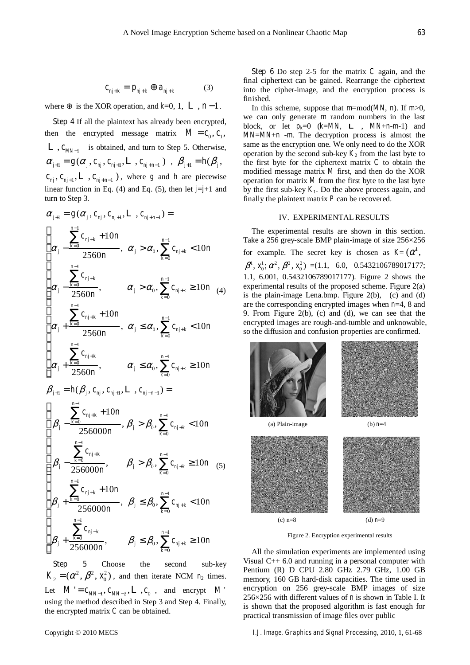$$
c_{nj+k} = p_{nj+k} \oplus a_{nj+k} \tag{3}
$$

where is the XOR operation, and  $k=0, 1, L, n-1$ .

**Step 4** If all the plaintext has already been encrypted, then the encrypted message matrix  $M = c_0, c_1$ ,  $L$ ,  $c_{MN-1}$  is obtained, and turn to Step 5. Otherwise,  $\alpha_{i+1} = g(\alpha_i, c_{ni}, c_{ni+1}, L, c_{ni+n-1})$ ,  $\beta_{i+1} = h(\beta_i,$  $c_{ni}$ ,  $c_{ni+1}$ ,  $L$ ,  $c_{ni+n-1}$ ), where *g* and *h* are piecewise linear function in Eq. (4) and Eq. (5), then let  $j=j+1$  and turn to Step 3.

$$
\alpha_{j+1} = g(\alpha_j, c_{nj}, c_{nj+1}, L, c_{nj+n-1}) =
$$
\n
$$
\begin{cases}\n\alpha_j - \frac{k-0}{2560n}, & \alpha_j > \alpha_0, \sum_{k=0}^{n-1} c_{nj+k} < 10n \\
\alpha_j - \frac{\sum_{k=0}^{n-1} c_{nj+k}}{2560n}, & \alpha_j > \alpha_0, \sum_{k=0}^{n-1} c_{nj+k} < 10n \\
\alpha_j + \frac{\sum_{k=0}^{n-1} c_{nj+k}}{2560n}, & \alpha_j \le \alpha_0, \sum_{k=0}^{n-1} c_{nj+k} < 10n \\
\alpha_j + \frac{\sum_{k=0}^{n-1} c_{nj+k}}{2560n}, & \alpha_j \le \alpha_0, \sum_{k=0}^{n-1} c_{nj+k} < 10n \\
\alpha_j + \frac{\sum_{k=0}^{n-1} c_{nj+k}}{2560n}, & \alpha_j \le \alpha_0, \sum_{k=0}^{n-1} c_{nj+k} \ge 10n \\
\beta_{j+1} = h(\beta_j, c_{nj}, c_{nj+1}, L, c_{nj+n-1}) =
$$
\n
$$
\begin{cases}\n\beta_j - \frac{\sum_{k=0}^{n-1} c_{nj+k}}{256000n}, & \beta_j > \beta_0, \sum_{k=0}^{n-1} c_{nj+k} < 10n \\
\beta_j - \frac{\sum_{k=0}^{n-1} c_{nj+k}}{256000n}, & \beta_j > \beta_0, \sum_{k=0}^{n-1} c_{nj+k} \ge 10n \\
\beta_j + \frac{\sum_{k=0}^{n-1} c_{nj+k}}{256000n}, & \beta_j \le \beta_0, \sum_{k=0}^{n-1} c_{nj+k} < 10n \\
\beta_j + \frac{\sum_{k=0}^{n-1} c_{nj+k}}{256000n}, & \beta_j \le \beta_0, \sum_{k=0}^{n-1} c_{nj+k} < 10n\n\end{cases}
$$

**Step 5** Choose the second sub-key  $K_2 = (\alpha^2, \beta^2, x_0^2)$ , and then iterate NCM  $n_2$  times. Let  $M' = c_{MN-1}, c_{MN-2}, L, c_0$ , and encrypt  $M'$ using the method described in Step 3 and Step 4. Finally, the encrypted matrix *C* can be obtained.

**Step 6** Do step 2-5 for the matrix *C* again, and the final ciphertext can be gained. Rearrange the ciphertext into the cipher-image, and the encryption process is finished.

In this scheme, suppose that *m*=mod(*MN*, *n*). If *m*>0, we can only generate *m* random numbers in the last block, or let  $p_k=0$  ( $k=MN$ ,  $L$ ,  $MN+n-m-1$ ) and *MN*=*MN*+*n* -*m*. The decryption process is almost the same as the encryption one. We only need to do the XOR operation by the second sub-key  $K_2$  from the last byte to the first byte for the ciphertext matrix *C* to obtain the modified message matrix *M* first, and then do the XOR operation for matrix *M* from the first byte to the last byte by the first sub-key  $K_1$ . Do the above process again, and finally the plaintext matrix *P* can be recovered.

#### IV. EXPERIMENTAL RESULTS

The experimental results are shown in this section. Take a 256 grey-scale BMP plain-image of size 256×256 for example. The secret key is chosen as  $K=(\alpha^1,$  $\beta^1$ ,  $x_0^1$ ;  $\alpha^2$ ,  $\beta^2$ ,  $x_0^2$ ) =(1.1, 6.0, 0.5432106789017177; 1.1, 6.001, 0.5432106789017177). Figure 2 shows the experimental results of the proposed scheme. Figure 2(a) is the plain-image Lena.bmp. Figure 2(b), (c) and (d) are the corresponding encrypted images when *n*=4, 8 and 9. From Figure 2(b), (c) and (d), we can see that the encrypted images are rough-and-tumble and unknowable, so the diffusion and confusion properties are confirmed.



Figure 2. Encryption experimental results

All the simulation experiments are implemented using Visual  $C_{++}$  6.0 and running in a personal computer with Pentium (R) D CPU 2.80 GHz 2.79 GHz, 1.00 GB memory, 160 GB hard-disk capacities. The time used in encryption on 256 grey-scale BMP images of size 256×256 with different values of *n* is shown in Table I. It is shown that the proposed algorithm is fast enough for practical transmission of image files over public

Copyright © 2010 MECS *I.J. Image, Graphics and Signal Processing,* 2010, 1, 61-68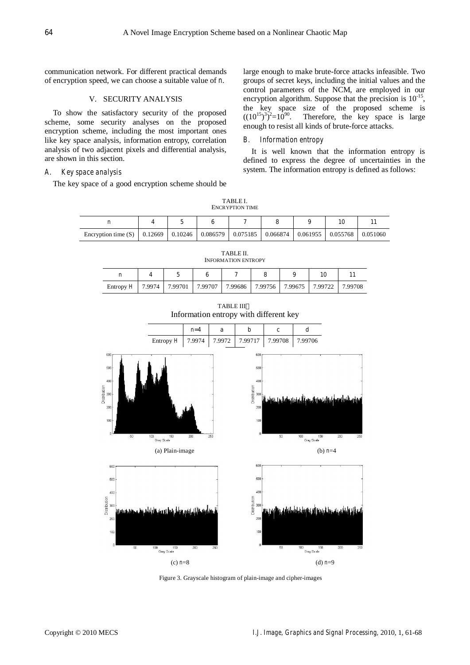communication network. For different practical demands of encryption speed, we can choose a suitable value of *n*.

## V. SECURITY ANALYSIS

To show the satisfactory security of the proposed scheme, some security analyses on the proposed encryption scheme, including the most important ones like key space analysis, information entropy, correlation analysis of two adjacent pixels and differential analysis, are shown in this section.

#### *A. Key space analysis*

The key space of a good encryption scheme should be

large enough to make brute-force attacks infeasible. Two groups of secret keys, including the initial values and the control parameters of the NCM, are employed in our encryption algorithm. Suppose that the precision is  $10^{-15}$ , the key space size of the proposed scheme is  $((10^{15})^3)^2=10^{90}$ . Therefore, the key space is large enough to resist all kinds of brute-force attacks.

#### *B. Information entropy*

It is well known that the information entropy is defined to express the degree of uncertainties in the system. The information entropy is defined as follows:

TABLE I. ENCRYPTION TIME

| Encryption time $(S)$ | 0.12669 | 0.10246 | 0.086579 | $0.075185$ | 0.066874 | $0.061955$   0.055768 | 0.051060 |
|-----------------------|---------|---------|----------|------------|----------|-----------------------|----------|

| <b>INFORMATION ENTROPY</b> |        |         |         |                                       |  |  |    |         |
|----------------------------|--------|---------|---------|---------------------------------------|--|--|----|---------|
| n                          |        |         |         |                                       |  |  | 10 |         |
| Entropy $H$                | 7.9974 | 7.99701 | 7.99707 | 7.99686   7.99756   7.99675   7.99722 |  |  |    | 7.99708 |

TABLE II.

TABLE III Information entropy with different key



Figure 3. Grayscale histogram of plain-image and cipher-images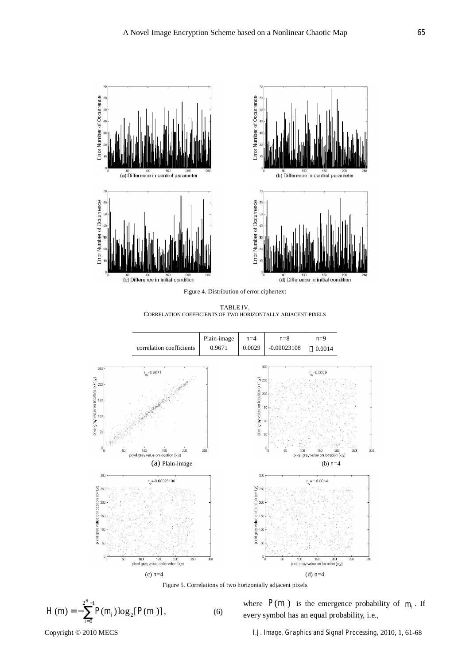

TABLE IV. CORRELATION COEFFICIENTS OF TWO HORIZONTALLY ADJACENT PIXELS



Figure 5. Correlations of two horizontally adjacent pixels

$$
H(m) = -\sum_{i=0}^{2^{N}-1} P(m_i) \log_2 [P(m_i)], \qquad (6)
$$

where  $P(m_i)$  is the emergence probability of  $m_i$ . If every symbol has an equal probability, i.e.,

Copyright © 2010 MECS *I.J. Image, Graphics and Signal Processing,* 2010, 1, 61-68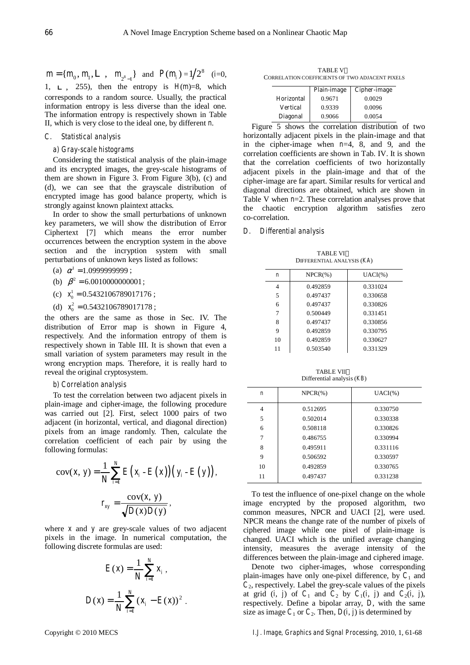$m = \{m_0, m_1, \mathbf{L}, m_{2^s-1}\}\text{ and } P(m_i) = 1/2^8 \text{ (i=0, i=0)}$ 1,  $L$ , 255), then the entropy is  $H(m)=8$ , which corresponds to a random source. Usually, the practical information entropy is less diverse than the ideal one. The information entropy is respectively shown in Table II, which is very close to the ideal one, by different *n*.

## *C. Statistical analysis*

## *a) Gray-scale histograms*

Considering the statistical analysis of the plain-image and its encrypted images, the grey-scale histograms of them are shown in Figure 3. From Figure 3(b), (c) and (d), we can see that the grayscale distribution of encrypted image has good balance property, which is strongly against known plaintext attacks.

In order to show the small perturbations of unknown key parameters, we will show the distribution of Error Ciphertext [7] which means the error number occurrences between the encryption system in the above section and the incryption system with small perturbations of unknown keys listed as follows:

(a)  $\alpha^1 = 1.09999999999$ ;

- (b)  $\beta^2 = 6.0010000000001$ ;
- (c)  $x_0^1 = 0.5432106789017176$ ;
- (d)  $x_0^2 = 0.5432106789017178$ ;

the others are the same as those in Sec. IV. The distribution of Error map is shown in Figure 4, respectively. And the information entropy of them is respectively shown in Table III. It is shown that even a small variation of system parameters may result in the wrong encryption maps. Therefore, it is really hard to reveal the original cryptosystem.

#### *b) Correlation analysis*

To test the correlation between two adjacent pixels in plain-image and cipher-image, the following procedure was carried out [2]. First, select 1000 pairs of two adjacent (in horizontal, vertical, and diagonal direction) pixels from an image randomly. Then, calculate the correlation coefficient of each pair by using the following formulas:

$$
cov(x, y) = \frac{1}{N} \sum_{i=1}^{N} E\left(x_i - E(x)\right) \left(y_i - E(y)\right),
$$

$$
r_{xy} = \frac{cov(x, y)}{\sqrt{D(x)D(y)}},
$$

where *x* and *y* are grey-scale values of two adjacent pixels in the image. In numerical computation, the following discrete formulas are used:

$$
E(x) = \frac{1}{N} \sum_{i=1}^{N} x_i ,
$$
  

$$
D(x) = \frac{1}{N} \sum_{i=1}^{N} (x_i - E(x))^2 .
$$

TABLE V CORRELATION COEFFICIENTS OF TWO ADJACENT PIXELS

|                   | <b>Plain-image</b> | Cipher-image |
|-------------------|--------------------|--------------|
| <b>Horizontal</b> | 0.9671             | 0.0029       |
| Vertical          | 0.9339             | 0.0096       |
| <b>Diagonal</b>   | 0.9066             | 0.0054       |

Figure 5 shows the correlation distribution of two horizontally adjacent pixels in the plain-image and that in the cipher-image when  $n=4$ , 8, and 9, and the correlation coefficients are shown in Tab. IV. It is shown that the correlation coefficients of two horizontally adjacent pixels in the plain-image and that of the cipher-image are far apart. Similar results for vertical and diagonal directions are obtained, which are shown in Table V when *n*=2. These correlation analyses prove that the chaotic encryption algorithm satisfies zero co-correlation.

#### *D. Differential analysis*

| DIFFERENTIAL ANALYSIS (AA) |            |            |  |  |  |
|----------------------------|------------|------------|--|--|--|
| n                          | $NPCR(\%)$ | $UACI(\%)$ |  |  |  |
| 4                          | 0.492859   | 0.331024   |  |  |  |
| 5                          | 0.497437   | 0.330658   |  |  |  |
| 6                          | 0.497437   | 0.330826   |  |  |  |
| 7                          | 0.500449   | 0.331451   |  |  |  |
| 8                          | 0.497437   | 0.330856   |  |  |  |
| 9                          | 0.492859   | 0.330795   |  |  |  |
| 10                         | 0.492859   | 0.330627   |  |  |  |
| 11                         | 0.503540   | 0.331329   |  |  |  |
|                            |            |            |  |  |  |

TABLE VI DIFFERENTIAL ANALYSIS (*KA*)

TABLE VII Differential analysis (*KB*)

| n  | $NPCR(\%)$ | $UACI(\%)$ |
|----|------------|------------|
| 4  | 0.512695   | 0.330750   |
| 5  | 0.502014   | 0.330338   |
| 6  | 0.508118   | 0.330826   |
| 7  | 0.486755   | 0.330994   |
| 8  | 0.495911   | 0.331116   |
| 9  | 0.506592   | 0.330597   |
| 10 | 0.492859   | 0.330765   |
| 11 | 0.497437   | 0.331238   |
|    |            |            |

To test the influence of one-pixel change on the whole image encrypted by the proposed algorithm, two common measures, NPCR and UACI [2], were used. NPCR means the change rate of the number of pixels of ciphered image while one pixel of plain-image is changed. UACI which is the unified average changing intensity, measures the average intensity of the differences between the plain-image and ciphered image.

Denote two cipher-images, whose corresponding plain-images have only one-pixel difference, by  $C_1$  and  $C_2$ , respectively. Label the grey-scale values of the pixels at grid  $(i, j)$  of  $C_1$  and  $C_2$  by  $C_1(i, j)$  and  $C_2(i, j)$ , respectively. Define a bipolar array, *D*, with the same size as image  $C_1$  or  $C_2$ . Then,  $D(i, j)$  is determined by

Copyright © 2010 MECS *I.J. Image, Graphics and Signal Processing,* 2010, 1, 61-68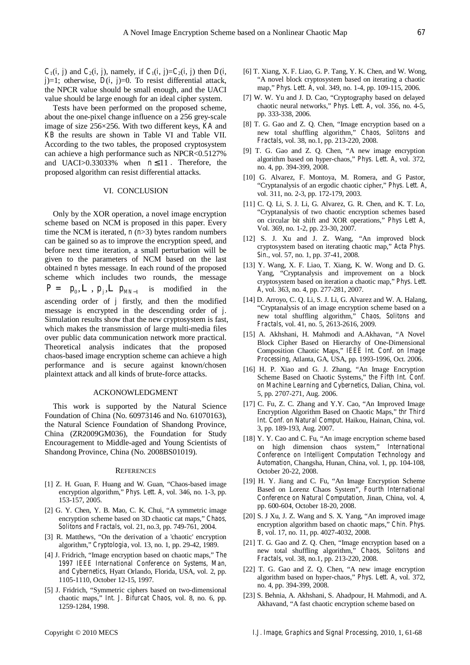*C*<sub>1</sub>(*i*, *j*) and *C*<sub>2</sub>(*i*, *j*), namely, if *C*<sub>1</sub>(*i*, *j*)=*C*<sub>2</sub>(*i*, *j*) then *D*(*i*,  $j$ =1; otherwise,  $D(i, j)$ =0. To resist differential attack, the NPCR value should be small enough, and the UACI value should be large enough for an ideal cipher system.

Tests have been performed on the proposed scheme, about the one-pixel change influence on a 256 grey-scale image of size 256×256. With two different keys, *KA* and *KB* the results are shown in Table VI and Table VII. According to the two tables, the proposed cryptosystem can achieve a high performance such as NPCR<0.5127% and UACI>0.33033% when  $n \le 11$ . Therefore, the proposed algorithm can resist differential attacks.

#### VI. CONCLUSION

Only by the XOR operation, a novel image encryption scheme based on NCM is proposed in this paper. Every time the NCM is iterated, *n* (*n*>3) bytes random numbers can be gained so as to improve the encryption speed, and before next time iteration, a small perturbation will be given to the parameters of NCM based on the last obtained *n* bytes message. In each round of the proposed scheme which includes two rounds, the message  $P = p_0, L, p_j, L, p_{MN-1}$  is modified in the ascending order of *j* firstly, and then the modified message is encrypted in the descending order of *j*. Simulation results show that the new cryptosystem is fast, which makes the transmission of large multi-media files over public data communication network more practical. Theoretical analysis indicates that the proposed chaos-based image encryption scheme can achieve a high performance and is secure against known/chosen plaintext attack and all kinds of brute-force attacks.

#### ACKONOWLEDGMENT

This work is supported by the Natural Science Foundation of China (No. 60973146 and No. 61070163), the Natural Science Foundation of Shandong Province, China (ZR2009GM036), the Foundation for Study Encouragement to Middle-aged and Young Scientists of Shandong Province, China (No. 2008BS01019).

#### **REFERENCES**

- [1] Z. H. Guan, F. Huang and W. Guan, "Chaos-based image encryption algorithm," *Phys. Lett. A*, vol. 346, no. 1-3, pp. 153-157, 2005.
- [2] G. Y. Chen, Y. B. Mao, C. K. Chui, "A symmetric image encryption scheme based on 3D chaotic cat maps," *Chaos, Solitons and Fractals*, vol. 21, no.3, pp. 749-761, 2004.
- [3] R. Matthews, "On the derivation of a 'chaotic' encryption algorithm," *Cryptologia*, vol. 13, no. 1, pp. 29-42, 1989.
- [4] J. Fridrich, "Image encryption based on chaotic maps," *The 1997 IEEE International Conference on Systems, Man, and Cybernetics*, Hyatt Orlando, Florida, USA, vol. 2, pp. 1105-1110, October 12-15, 1997.
- [5] J. Fridrich, "Symmetric ciphers based on two-dimensional chaotic maps," *Int. J. Bifurcat Chaos*, vol. 8, no. 6, pp. 1259-1284, 1998.
- [6] T. Xiang, X. F. Liao, G. P. Tang, Y. K. Chen, and W. Wong, "A novel block cryptosystem based on iterating a chaotic map," *Phys. Lett. A*, vol. 349, no. 1-4, pp. 109-115, 2006.
- [7] W. W. Yu and J. D. Cao, "Cryptography based on delayed chaotic neural networks," *Phys. Lett. A*, vol. 356, no. 4-5, pp. 333-338, 2006.
- [8] T. G. Gao and Z. Q. Chen, "Image encryption based on a new total shuffling algorithm," *Chaos, Solitons and Fractals*, vol. 38, no.1, pp. 213-220, 2008.
- [9] T. G. Gao and Z. Q. Chen, "A new image encryption algorithm based on hyper-chaos," *Phys. Lett. A*, vol. 372, no. 4, pp. 394-399, 2008.
- [10] G. Alvarez, F. Montoya, M. Romera, and G Pastor, "Cryptanalysis of an ergodic chaotic cipher," *Phys. Lett. A*, vol. 311, no. 2-3, pp. 172-179, 2003.
- [11] C. Q. Li, S. J. Li, G. Alvarez, G. R. Chen, and K. T. Lo, "Cryptanalysis of two chaotic encryption schemes based on circular bit shift and XOR operations," *Phys Lett A*, Vol. 369, no. 1-2, pp. 23-30, 2007.
- [12] S. J. Xu and J. Z. Wang, "An improved block cryptosystem based on iterating chaotic map," *Acta Phys. Sin*., vol. 57, no. 1, pp. 37-41, 2008.
- [13] Y. Wang, X. F. Liao, T. Xiang, K. W. Wong and D. G. Yang, "Cryptanalysis and improvement on a block cryptosystem based on iteration a chaotic map," *Phys. Lett. A*, vol. 363, no. 4, pp. 277-281, 2007.
- [14] D. Arroyo, C. Q. Li, S. J. Li, G. Alvarez and W. A. Halang, "Cryptanalysis of an image encryption scheme based on a new total shuffling algorithm," *Chaos, Solitons and Fractals*, vol. 41, no. 5, 2613-2616, 2009.
- [15] A. Akhshani, H. Mahmodi and A.Akhavan, "A Novel Block Cipher Based on Hierarchy of One-Dimensional Composition Chaotic Maps," *IEEE Int. Conf. on Image Processing*, Atlanta, GA, USA, pp. 1993-1996, Oct. 2006.
- [16] H. P. Xiao and G. J. Zhang, "An Image Encryption Scheme Based on Chaotic Systems," *the Fifth Int. Conf. on Machine Learning and Cybernetics*, Dalian, China, vol. 5, pp. 2707-271, Aug. 2006.
- [17] C. Fu, Z. C. Zhang and Y.Y. Cao, "An Improved Image Encryption Algorithm Based on Chaotic Maps," *thr Third Int. Conf. on Natural Comput*. Haikou, Hainan, China, vol. 3, pp. 189-193, Aug. 2007.
- [18] Y. Y. Cao and C. Fu, "An image encryption scheme based on high dimension chaos system," *International Conference on Intelligent Computation Technology and Automation*, Changsha, Hunan, China, vol. 1, pp. 104-108, October 20-22, 2008.
- [19] H. Y. Jiang and C. Fu, "An Image Encryption Scheme Based on Lorenz Chaos System", *Fourth International Conference on Natural Computation,* Jinan, China, vol. 4, pp. 600-604, October 18-20, 2008.
- [20] S. J Xu, J. Z. Wang and S. X. Yang, "An improved image encryption algorithm based on chaotic maps," *Chin. Phys. B*, vol. 17, no. 11, pp. 4027-4032, 2008.
- [21] T. G. Gao and Z. Q. Chen, "Image encryption based on a new total shuffling algorithm," *Chaos, Solitons and Fractals*, vol. 38, no.1, pp. 213-220, 2008.
- [22] T. G. Gao and Z. Q. Chen, "A new image encryption algorithm based on hyper-chaos," *Phys. Lett. A*, vol. 372, no. 4, pp. 394-399, 2008.
- [23] S. Behnia, A. Akhshani, S. Ahadpour, H. Mahmodi, and A. Akhavand, "A fast chaotic encryption scheme based on